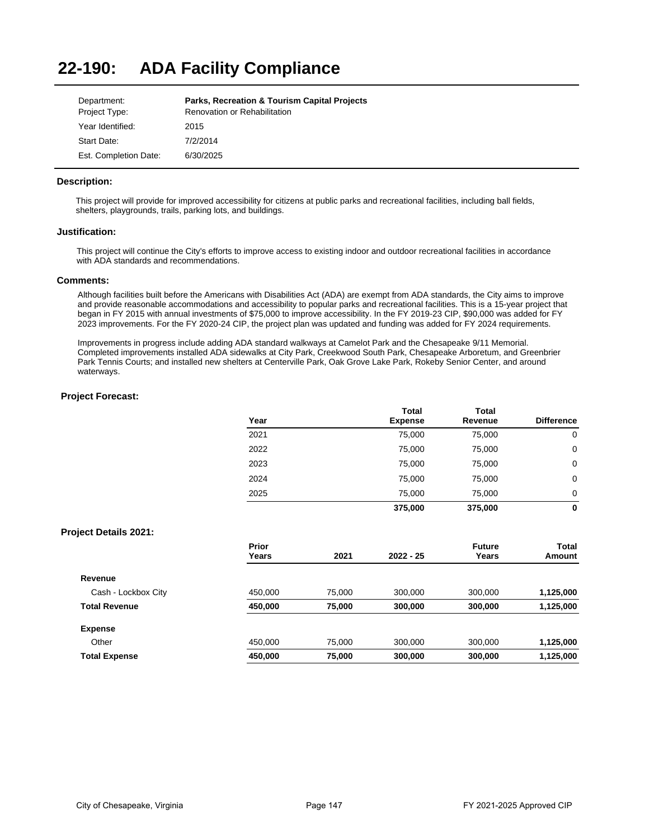### **22-190: ADA Facility Compliance**

| Department:           | <b>Parks, Recreation &amp; Tourism Capital Projects</b> |
|-----------------------|---------------------------------------------------------|
| Project Type:         | Renovation or Rehabilitation                            |
| Year Identified:      | 2015                                                    |
| Start Date:           | 7/2/2014                                                |
| Est. Completion Date: | 6/30/2025                                               |

### **Description:**

This project will provide for improved accessibility for citizens at public parks and recreational facilities, including ball fields, shelters, playgrounds, trails, parking lots, and buildings.

### **Justification:**

This project will continue the City's efforts to improve access to existing indoor and outdoor recreational facilities in accordance with ADA standards and recommendations.

### **Comments:**

Although facilities built before the Americans with Disabilities Act (ADA) are exempt from ADA standards, the City aims to improve and provide reasonable accommodations and accessibility to popular parks and recreational facilities. This is a 15-year project that began in FY 2015 with annual investments of \$75,000 to improve accessibility. In the FY 2019-23 CIP, \$90,000 was added for FY 2023 improvements. For the FY 2020-24 CIP, the project plan was updated and funding was added for FY 2024 requirements.

Improvements in progress include adding ADA standard walkways at Camelot Park and the Chesapeake 9/11 Memorial. Completed improvements installed ADA sidewalks at City Park, Creekwood South Park, Chesapeake Arboretum, and Greenbrier Park Tennis Courts; and installed new shelters at Centerville Park, Oak Grove Lake Park, Rokeby Senior Center, and around waterways.

### **Project Forecast:**

| Year | <b>Total</b><br><b>Expense</b> | <b>Total</b><br>Revenue | <b>Difference</b> |
|------|--------------------------------|-------------------------|-------------------|
| 2021 | 75,000                         | 75,000                  | 0                 |
| 2022 | 75,000                         | 75,000                  | 0                 |
| 2023 | 75,000                         | 75,000                  | 0                 |
| 2024 | 75,000                         | 75,000                  | 0                 |
| 2025 | 75,000                         | 75,000                  | 0                 |
|      | 375,000                        | 375,000                 | 0                 |

|                      | Prior   |        |             | <b>Future</b> | Total     |
|----------------------|---------|--------|-------------|---------------|-----------|
|                      | Years   | 2021   | $2022 - 25$ | Years         | Amount    |
| Revenue              |         |        |             |               |           |
| Cash - Lockbox City  | 450.000 | 75.000 | 300,000     | 300.000       | 1,125,000 |
| <b>Total Revenue</b> | 450,000 | 75,000 | 300,000     | 300,000       | 1,125,000 |
| <b>Expense</b>       |         |        |             |               |           |
| Other                | 450.000 | 75.000 | 300,000     | 300.000       | 1,125,000 |
| <b>Total Expense</b> | 450,000 | 75,000 | 300,000     | 300,000       | 1,125,000 |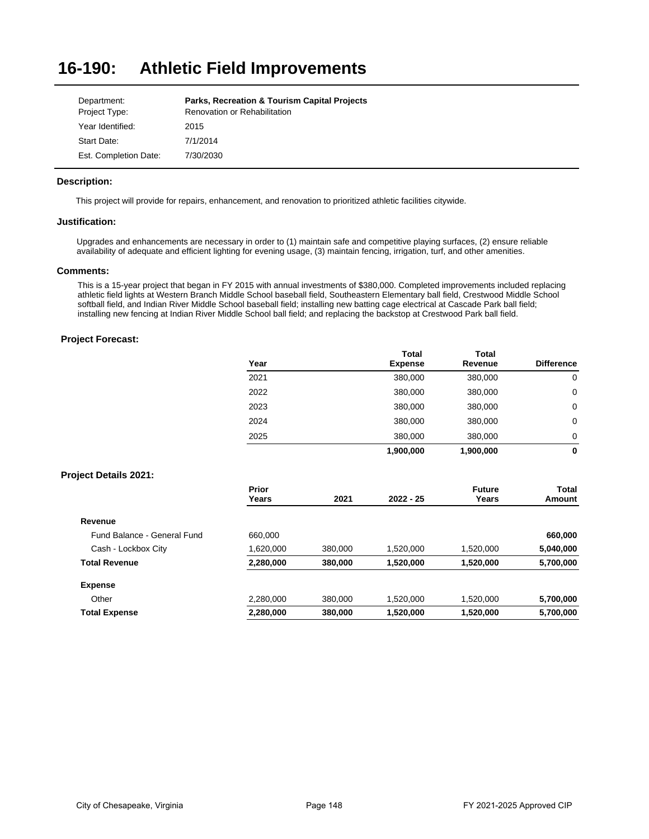#### **16-190: Athletic Field Improvements**

| Department:           | <b>Parks, Recreation &amp; Tourism Capital Projects</b> |
|-----------------------|---------------------------------------------------------|
| Project Type:         | Renovation or Rehabilitation                            |
| Year Identified:      | 2015                                                    |
| Start Date:           | 7/1/2014                                                |
| Est. Completion Date: | 7/30/2030                                               |

## **Description:**

This project will provide for repairs, enhancement, and renovation to prioritized athletic facilities citywide.

## **Justification:**

Upgrades and enhancements are necessary in order to (1) maintain safe and competitive playing surfaces, (2) ensure reliable availability of adequate and efficient lighting for evening usage, (3) maintain fencing, irrigation, turf, and other amenities.

### **Comments:**

This is a 15-year project that began in FY 2015 with annual investments of \$380,000. Completed improvements included replacing athletic field lights at Western Branch Middle School baseball field, Southeastern Elementary ball field, Crestwood Middle School softball field, and Indian River Middle School baseball field; installing new batting cage electrical at Cascade Park ball field; installing new fencing at Indian River Middle School ball field; and replacing the backstop at Crestwood Park ball field.

|                              | Year           |      | <b>Total</b><br><b>Expense</b> | <b>Total</b><br>Revenue | <b>Difference</b>      |
|------------------------------|----------------|------|--------------------------------|-------------------------|------------------------|
|                              | 2021           |      | 380,000                        | 380,000                 | 0                      |
|                              | 2022           |      | 380,000                        | 380,000                 | 0                      |
|                              | 2023           |      | 380,000                        | 380,000                 | 0                      |
|                              | 2024           |      | 380,000                        | 380,000                 | 0                      |
|                              | 2025           |      | 380,000                        | 380,000                 | 0                      |
|                              |                |      | 1,900,000                      | 1,900,000               | $\mathbf 0$            |
| <b>Project Details 2021:</b> |                |      |                                |                         |                        |
|                              | Prior<br>Years | 2021 | $2022 - 25$                    | <b>Future</b><br>Years  | <b>Total</b><br>Amount |
| Revenue                      |                |      |                                |                         |                        |

| <b>Total Expense</b>        | 2,280,000 | 380,000 | 1,520,000 | 1,520,000 | 5,700,000 |
|-----------------------------|-----------|---------|-----------|-----------|-----------|
| Other                       | 2,280,000 | 380,000 | 1.520.000 | 1.520.000 | 5,700,000 |
| <b>Expense</b>              |           |         |           |           |           |
| <b>Total Revenue</b>        | 2,280,000 | 380,000 | 1.520.000 | 1.520.000 | 5,700,000 |
| Cash - Lockbox City         | 1,620,000 | 380,000 | 1.520.000 | 1.520.000 | 5,040,000 |
| Fund Balance - General Fund | 660.000   |         |           |           | 660,000   |
|                             |           |         |           |           |           |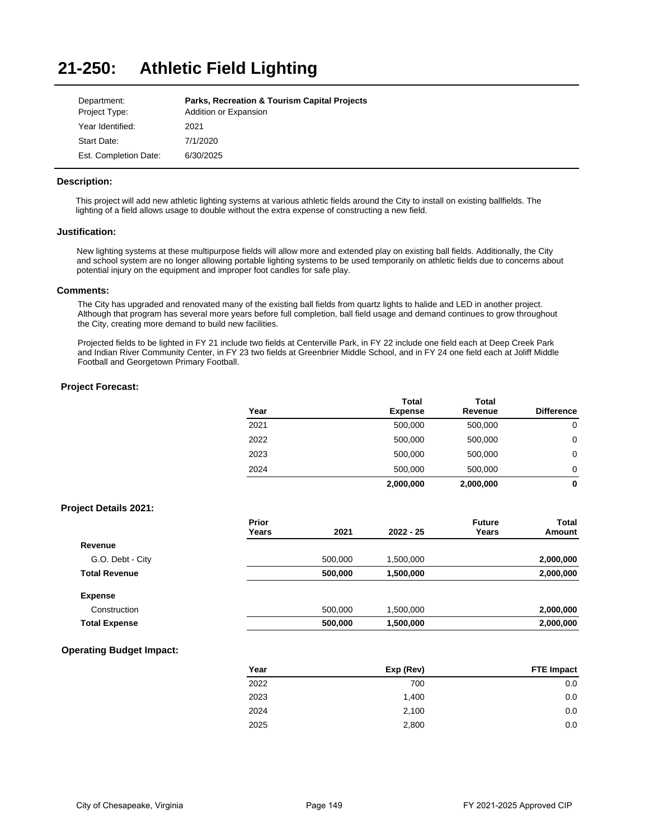#### **21-250: Athletic Field Lighting**

| Department:           | <b>Parks, Recreation &amp; Tourism Capital Projects</b> |
|-----------------------|---------------------------------------------------------|
| Project Type:         | Addition or Expansion                                   |
| Year Identified:      | 2021                                                    |
| Start Date:           | 7/1/2020                                                |
| Est. Completion Date: | 6/30/2025                                               |

## **Description:**

This project will add new athletic lighting systems at various athletic fields around the City to install on existing ballfields. The lighting of a field allows usage to double without the extra expense of constructing a new field.

### **Justification:**

New lighting systems at these multipurpose fields will allow more and extended play on existing ball fields. Additionally, the City and school system are no longer allowing portable lighting systems to be used temporarily on athletic fields due to concerns about potential injury on the equipment and improper foot candles for safe play.

### **Comments:**

The City has upgraded and renovated many of the existing ball fields from quartz lights to halide and LED in another project. Although that program has several more years before full completion, ball field usage and demand continues to grow throughout the City, creating more demand to build new facilities.

Projected fields to be lighted in FY 21 include two fields at Centerville Park, in FY 22 include one field each at Deep Creek Park and Indian River Community Center, in FY 23 two fields at Greenbrier Middle School, and in FY 24 one field each at Joliff Middle Football and Georgetown Primary Football.

### **Project Forecast:**

| Year           |         | <b>Total</b><br><b>Expense</b> | <b>Total</b><br>Revenue | <b>Difference</b> |
|----------------|---------|--------------------------------|-------------------------|-------------------|
| 2021           |         | 500,000                        | 500,000                 | $\mathbf 0$       |
| 2022           |         | 500,000                        | 500,000                 | $\mathbf 0$       |
| 2023           |         | 500,000                        | 500,000                 | $\mathbf 0$       |
| 2024           |         | 500,000                        | 500,000                 | 0                 |
|                |         | 2,000,000                      | 2,000,000               | 0                 |
|                |         |                                |                         |                   |
| Prior<br>Years | 2021    | $2022 - 25$                    | <b>Future</b><br>Years  | Total<br>Amount   |
|                |         |                                |                         |                   |
|                | 500,000 | 1,500,000                      |                         | 2,000,000         |
|                | 500,000 | 1,500,000                      |                         | 2,000,000         |
|                |         |                                |                         |                   |
|                | 500,000 | 1,500,000                      |                         | 2,000,000         |
|                | 500,000 | 1,500,000                      |                         | 2,000,000         |
|                |         |                                |                         |                   |

## **Operating Budget Impact:**

| Year | Exp (Rev) | <b>FTE Impact</b> |
|------|-----------|-------------------|
| 2022 | 700       | 0.0               |
| 2023 | 1.400     | 0.0               |
| 2024 | 2,100     | 0.0               |
| 2025 | 2,800     | 0.0               |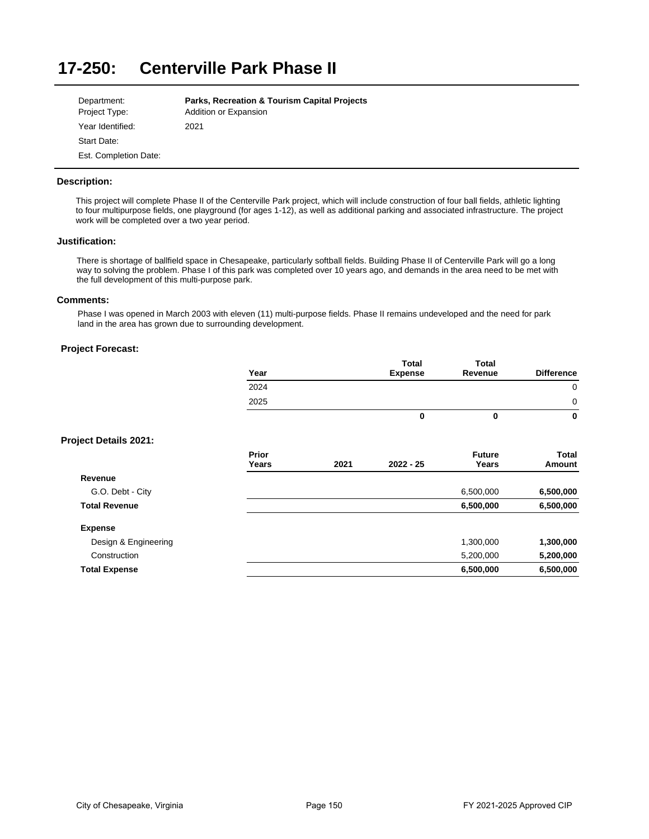#### **17-250: Centerville Park Phase II**

| Department:           | <b>Parks, Recreation &amp; Tourism Capital Projects</b> |
|-----------------------|---------------------------------------------------------|
| Project Type:         | Addition or Expansion                                   |
| Year Identified:      | 2021                                                    |
| Start Date:           |                                                         |
| Est. Completion Date: |                                                         |

## **Description:**

This project will complete Phase II of the Centerville Park project, which will include construction of four ball fields, athletic lighting to four multipurpose fields, one playground (for ages 1-12), as well as additional parking and associated infrastructure. The project work will be completed over a two year period.

## **Justification:**

There is shortage of ballfield space in Chesapeake, particularly softball fields. Building Phase II of Centerville Park will go a long way to solving the problem. Phase I of this park was completed over 10 years ago, and demands in the area need to be met with the full development of this multi-purpose park.

# **Comments:**

Phase I was opened in March 2003 with eleven (11) multi-purpose fields. Phase II remains undeveloped and the need for park land in the area has grown due to surrounding development.

# **Project Forecast:**

| Year | Total<br><b>Expense</b> | Total<br>Revenue | <b>Difference</b> |
|------|-------------------------|------------------|-------------------|
| 2024 |                         |                  | 0                 |
| 2025 |                         |                  | 0                 |
|      | 0                       | O                | 0                 |

**Total** 

**Total** 

|                      | <b>Prior</b><br>Years | 2021 | $2022 - 25$ | <b>Future</b><br>Years | Total<br>Amount |
|----------------------|-----------------------|------|-------------|------------------------|-----------------|
| Revenue              |                       |      |             |                        |                 |
| G.O. Debt - City     |                       |      |             | 6,500,000              | 6,500,000       |
| <b>Total Revenue</b> |                       |      |             | 6,500,000              | 6,500,000       |
| <b>Expense</b>       |                       |      |             |                        |                 |
| Design & Engineering |                       |      |             | 1,300,000              | 1,300,000       |
| Construction         |                       |      |             | 5,200,000              | 5,200,000       |
| <b>Total Expense</b> |                       |      |             | 6,500,000              | 6,500,000       |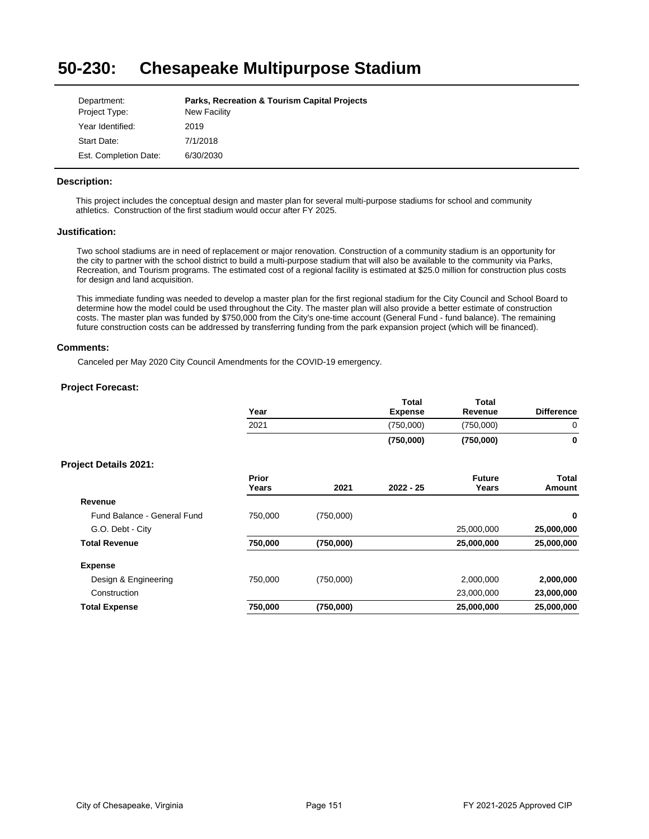#### **50-230: Chesapeake Multipurpose Stadium**

| Department:           | <b>Parks, Recreation &amp; Tourism Capital Projects</b> |
|-----------------------|---------------------------------------------------------|
| Project Type:         | New Facility                                            |
| Year Identified:      | 2019                                                    |
| Start Date:           | 7/1/2018                                                |
| Est. Completion Date: | 6/30/2030                                               |

## **Description:**

This project includes the conceptual design and master plan for several multi-purpose stadiums for school and community athletics. Construction of the first stadium would occur after FY 2025.

### **Justification:**

Two school stadiums are in need of replacement or major renovation. Construction of a community stadium is an opportunity for the city to partner with the school district to build a multi-purpose stadium that will also be available to the community via Parks, Recreation, and Tourism programs. The estimated cost of a regional facility is estimated at \$25.0 million for construction plus costs for design and land acquisition.

This immediate funding was needed to develop a master plan for the first regional stadium for the City Council and School Board to determine how the model could be used throughout the City. The master plan will also provide a better estimate of construction costs. The master plan was funded by \$750,000 from the City's one-time account (General Fund - fund balance). The remaining future construction costs can be addressed by transferring funding from the park expansion project (which will be financed).

### **Comments:**

Canceled per May 2020 City Council Amendments for the COVID-19 emergency.

|                              | Year           |           | Total<br><b>Expense</b> | <b>Total</b><br>Revenue | <b>Difference</b> |
|------------------------------|----------------|-----------|-------------------------|-------------------------|-------------------|
|                              | 2021           |           | (750,000)               | (750,000)               | 0                 |
|                              |                |           | (750,000)               | (750,000)               | $\mathbf 0$       |
| <b>Project Details 2021:</b> |                |           |                         |                         |                   |
|                              | Prior<br>Years | 2021      | $2022 - 25$             | <b>Future</b><br>Years  | Total<br>Amount   |
| Revenue                      |                |           |                         |                         |                   |
| Fund Balance - General Fund  | 750,000        | (750,000) |                         |                         | $\mathbf 0$       |
| G.O. Debt - City             |                |           |                         | 25,000,000              | 25,000,000        |
| <b>Total Revenue</b>         | 750,000        | (750,000) |                         | 25,000,000              | 25,000,000        |
| <b>Expense</b>               |                |           |                         |                         |                   |
| Design & Engineering         | 750,000        | (750,000) |                         | 2,000,000               | 2,000,000         |
| Construction                 |                |           |                         | 23,000,000              | 23,000,000        |
| <b>Total Expense</b>         | 750,000        | (750,000) |                         | 25,000,000              | 25,000,000        |
|                              |                |           |                         |                         |                   |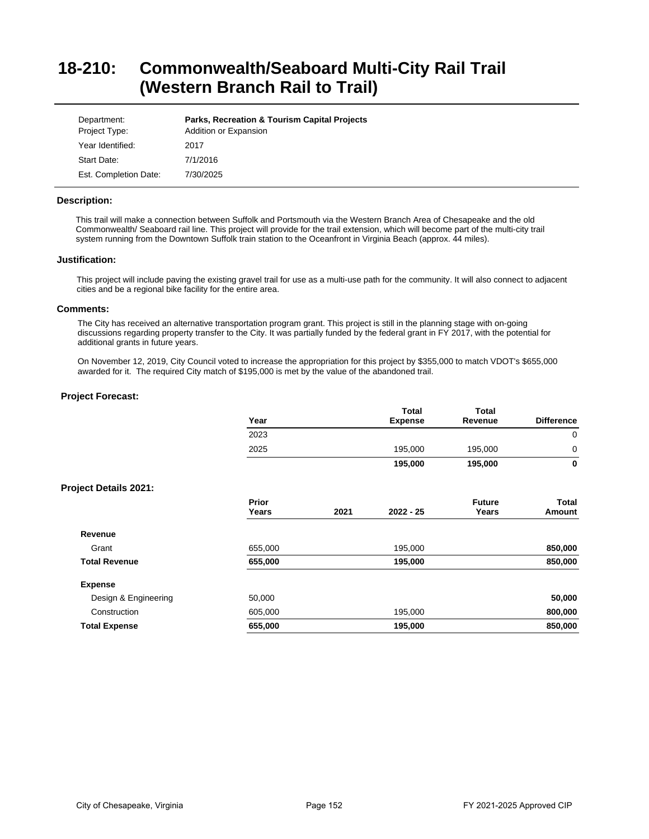# **18-210: Commonwealth/Seaboard Multi-City Rail Trail (Western Branch Rail to Trail)**

| Department:<br>Project Type: | <b>Parks, Recreation &amp; Tourism Capital Projects</b><br>Addition or Expansion |
|------------------------------|----------------------------------------------------------------------------------|
| Year Identified:             | 2017                                                                             |
| Start Date:                  | 7/1/2016                                                                         |
| Est. Completion Date:        | 7/30/2025                                                                        |

### **Description:**

This trail will make a connection between Suffolk and Portsmouth via the Western Branch Area of Chesapeake and the old Commonwealth/ Seaboard rail line. This project will provide for the trail extension, which will become part of the multi-city trail system running from the Downtown Suffolk train station to the Oceanfront in Virginia Beach (approx. 44 miles).

## **Justification:**

This project will include paving the existing gravel trail for use as a multi-use path for the community. It will also connect to adjacent cities and be a regional bike facility for the entire area.

### **Comments:**

The City has received an alternative transportation program grant. This project is still in the planning stage with on-going discussions regarding property transfer to the City. It was partially funded by the federal grant in FY 2017, with the potential for additional grants in future years.

On November 12, 2019, City Council voted to increase the appropriation for this project by \$355,000 to match VDOT's \$655,000 awarded for it. The required City match of \$195,000 is met by the value of the abandoned trail.

| Year           |      | <b>Total</b><br><b>Expense</b> | <b>Total</b><br>Revenue | <b>Difference</b>      |
|----------------|------|--------------------------------|-------------------------|------------------------|
| 2023           |      |                                |                         | $\mathbf 0$            |
| 2025           |      | 195,000                        | 195,000                 | $\mathbf 0$            |
|                |      | 195,000                        | 195,000                 | $\mathbf 0$            |
|                |      |                                |                         |                        |
| Prior<br>Years | 2021 | $2022 - 25$                    | <b>Future</b><br>Years  | <b>Total</b><br>Amount |
|                |      |                                |                         |                        |
| 655,000        |      | 195,000                        |                         | 850,000                |
| 655,000        |      | 195,000                        |                         | 850,000                |
|                |      |                                |                         |                        |
| 50,000         |      |                                |                         | 50,000                 |
| 605,000        |      | 195,000                        |                         | 800,000                |
| 655,000        |      | 195,000                        |                         | 850,000                |
|                |      |                                |                         |                        |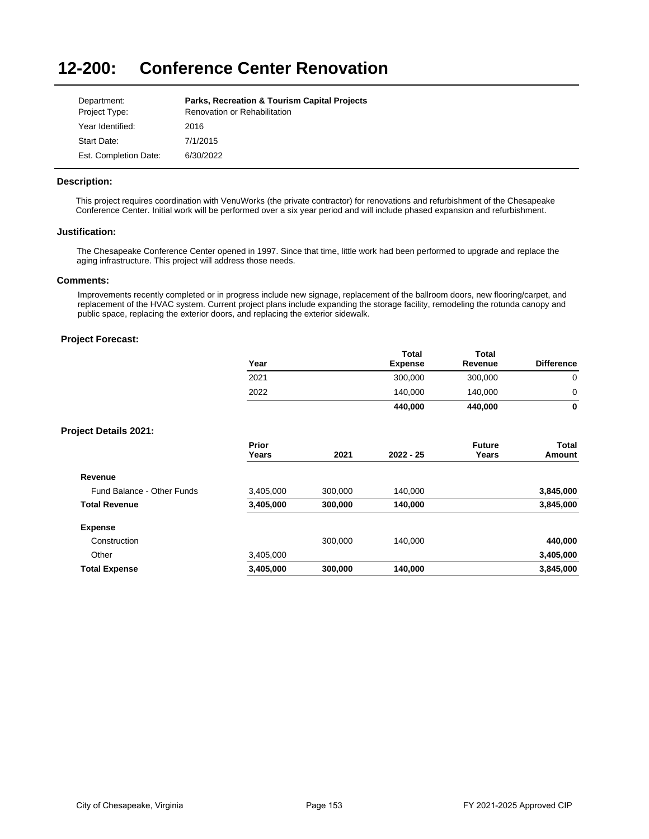#### **12-200: Conference Center Renovation**

| Department:           | <b>Parks, Recreation &amp; Tourism Capital Projects</b> |
|-----------------------|---------------------------------------------------------|
| Project Type:         | Renovation or Rehabilitation                            |
| Year Identified:      | 2016                                                    |
| Start Date:           | 7/1/2015                                                |
| Est. Completion Date: | 6/30/2022                                               |

## **Description:**

This project requires coordination with VenuWorks (the private contractor) for renovations and refurbishment of the Chesapeake Conference Center. Initial work will be performed over a six year period and will include phased expansion and refurbishment.

### **Justification:**

The Chesapeake Conference Center opened in 1997. Since that time, little work had been performed to upgrade and replace the aging infrastructure. This project will address those needs.

### **Comments:**

Improvements recently completed or in progress include new signage, replacement of the ballroom doors, new flooring/carpet, and replacement of the HVAC system. Current project plans include expanding the storage facility, remodeling the rotunda canopy and public space, replacing the exterior doors, and replacing the exterior sidewalk.

|                              | Year           |         | <b>Total</b><br><b>Expense</b> | Total<br>Revenue       | <b>Difference</b> |
|------------------------------|----------------|---------|--------------------------------|------------------------|-------------------|
|                              | 2021           |         | 300,000                        | 300,000                | 0                 |
|                              | 2022           |         | 140,000                        | 140,000                | 0                 |
|                              |                |         | 440,000                        | 440,000                | $\bf{0}$          |
| <b>Project Details 2021:</b> |                |         |                                |                        |                   |
|                              | Prior<br>Years | 2021    | $2022 - 25$                    | <b>Future</b><br>Years | Total<br>Amount   |
| Revenue                      |                |         |                                |                        |                   |
| Fund Balance - Other Funds   | 3,405,000      | 300,000 | 140,000                        |                        | 3,845,000         |
| <b>Total Revenue</b>         | 3,405,000      | 300,000 | 140,000                        |                        | 3,845,000         |
| <b>Expense</b>               |                |         |                                |                        |                   |
| Construction                 |                | 300,000 | 140,000                        |                        | 440,000           |
| Other                        | 3,405,000      |         |                                |                        | 3,405,000         |
| <b>Total Expense</b>         | 3,405,000      | 300,000 | 140,000                        |                        | 3,845,000         |
|                              |                |         |                                |                        |                   |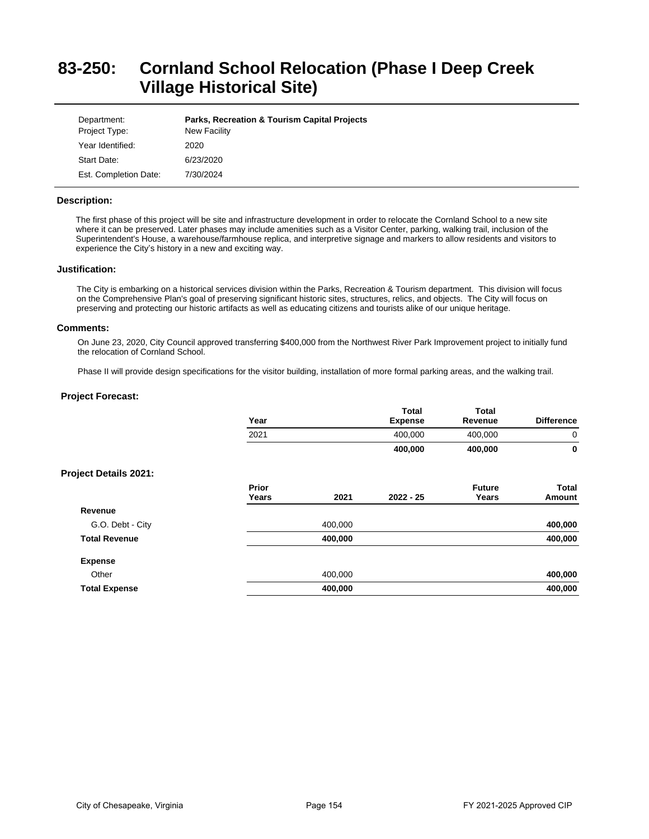# **83-250: Cornland School Relocation (Phase I Deep Creek Village Historical Site)**

| Department:<br>Project Type: | <b>Parks, Recreation &amp; Tourism Capital Projects</b><br>New Facility |
|------------------------------|-------------------------------------------------------------------------|
| Year Identified:             | 2020                                                                    |
| Start Date:                  | 6/23/2020                                                               |
| Est. Completion Date:        | 7/30/2024                                                               |

### **Description:**

The first phase of this project will be site and infrastructure development in order to relocate the Cornland School to a new site where it can be preserved. Later phases may include amenities such as a Visitor Center, parking, walking trail, inclusion of the Superintendent's House, a warehouse/farmhouse replica, and interpretive signage and markers to allow residents and visitors to experience the City's history in a new and exciting way.

### **Justification:**

The City is embarking on a historical services division within the Parks, Recreation & Tourism department. This division will focus on the Comprehensive Plan's goal of preserving significant historic sites, structures, relics, and objects. The City will focus on preserving and protecting our historic artifacts as well as educating citizens and tourists alike of our unique heritage.

### **Comments:**

On June 23, 2020, City Council approved transferring \$400,000 from the Northwest River Park Improvement project to initially fund the relocation of Cornland School.

Phase II will provide design specifications for the visitor building, installation of more formal parking areas, and the walking trail.

|                              | Year           |         | <b>Total</b><br><b>Expense</b> | <b>Total</b><br>Revenue | <b>Difference</b>      |
|------------------------------|----------------|---------|--------------------------------|-------------------------|------------------------|
|                              | 2021           |         | 400,000                        | 400,000                 | 0                      |
|                              |                |         | 400,000                        | 400,000                 | 0                      |
| <b>Project Details 2021:</b> |                |         |                                |                         |                        |
|                              | Prior<br>Years | 2021    | $2022 - 25$                    | <b>Future</b><br>Years  | <b>Total</b><br>Amount |
| Revenue                      |                |         |                                |                         |                        |
| G.O. Debt - City             |                | 400,000 |                                |                         | 400,000                |
| <b>Total Revenue</b>         |                | 400,000 |                                |                         | 400,000                |
| <b>Expense</b>               |                |         |                                |                         |                        |
| Other                        |                | 400,000 |                                |                         | 400,000                |
| <b>Total Expense</b>         |                | 400,000 |                                |                         | 400,000                |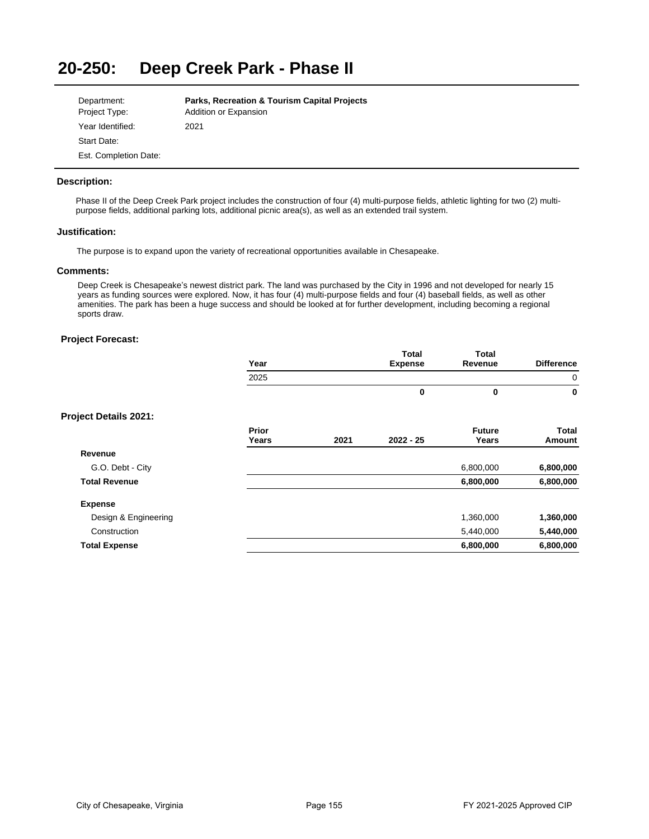### **20-250: Deep Creek Park - Phase II**

| Department:           | <b>Parks, Recreation &amp; Tourism Capital Projects</b> |
|-----------------------|---------------------------------------------------------|
| Project Type:         | Addition or Expansion                                   |
| Year Identified:      | 2021                                                    |
| Start Date:           |                                                         |
| Est. Completion Date: |                                                         |

## **Description:**

Phase II of the Deep Creek Park project includes the construction of four (4) multi-purpose fields, athletic lighting for two (2) multipurpose fields, additional parking lots, additional picnic area(s), as well as an extended trail system.

### **Justification:**

The purpose is to expand upon the variety of recreational opportunities available in Chesapeake.

#### **Comments:**

Deep Creek is Chesapeake's newest district park. The land was purchased by the City in 1996 and not developed for nearly 15 years as funding sources were explored. Now, it has four (4) multi-purpose fields and four (4) baseball fields, as well as other amenities. The park has been a huge success and should be looked at for further development, including becoming a regional sports draw.

## **Project Forecast:**

| <b>Total</b><br><b>Expense</b> | <b>Total</b><br>Revenue | <b>Difference</b> |
|--------------------------------|-------------------------|-------------------|
|                                |                         | 0                 |
|                                |                         | 0                 |
|                                |                         |                   |

|                      | Prior<br>Years | 2021 | $2022 - 25$ | <b>Future</b><br>Years | Total<br>Amount |
|----------------------|----------------|------|-------------|------------------------|-----------------|
| Revenue              |                |      |             |                        |                 |
| G.O. Debt - City     |                |      |             | 6,800,000              | 6,800,000       |
| <b>Total Revenue</b> |                |      |             | 6,800,000              | 6,800,000       |
| <b>Expense</b>       |                |      |             |                        |                 |
| Design & Engineering |                |      |             | 1,360,000              | 1,360,000       |
| Construction         |                |      |             | 5,440,000              | 5,440,000       |
| <b>Total Expense</b> |                |      |             | 6,800,000              | 6,800,000       |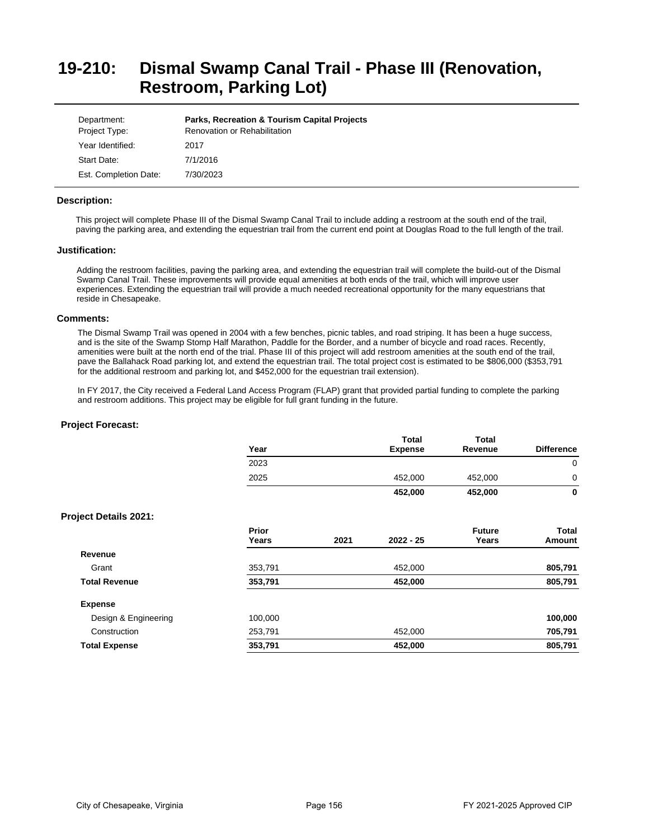# **19-210: Dismal Swamp Canal Trail - Phase III (Renovation, Restroom, Parking Lot)**

| Department:<br>Project Type: | <b>Parks, Recreation &amp; Tourism Capital Projects</b><br>Renovation or Rehabilitation |
|------------------------------|-----------------------------------------------------------------------------------------|
| Year Identified:             | 2017                                                                                    |
| Start Date:                  | 7/1/2016                                                                                |
| Est. Completion Date:        | 7/30/2023                                                                               |

### **Description:**

This project will complete Phase III of the Dismal Swamp Canal Trail to include adding a restroom at the south end of the trail, paving the parking area, and extending the equestrian trail from the current end point at Douglas Road to the full length of the trail.

### **Justification:**

Adding the restroom facilities, paving the parking area, and extending the equestrian trail will complete the build-out of the Dismal Swamp Canal Trail. These improvements will provide equal amenities at both ends of the trail, which will improve user experiences. Extending the equestrian trail will provide a much needed recreational opportunity for the many equestrians that reside in Chesapeake.

#### **Comments:**

The Dismal Swamp Trail was opened in 2004 with a few benches, picnic tables, and road striping. It has been a huge success, and is the site of the Swamp Stomp Half Marathon, Paddle for the Border, and a number of bicycle and road races. Recently, amenities were built at the north end of the trial. Phase III of this project will add restroom amenities at the south end of the trail, pave the Ballahack Road parking lot, and extend the equestrian trail. The total project cost is estimated to be \$806,000 (\$353,791 for the additional restroom and parking lot, and \$452,000 for the equestrian trail extension).

In FY 2017, the City received a Federal Land Access Program (FLAP) grant that provided partial funding to complete the parking and restroom additions. This project may be eligible for full grant funding in the future.

| $\mathbf 0$<br>0<br>0 |
|-----------------------|
|                       |
|                       |
|                       |
|                       |
| Total<br>Amount       |
|                       |
| 805,791               |
| 805,791               |
|                       |
| 100,000               |
| 705,791               |
| 805,791               |
|                       |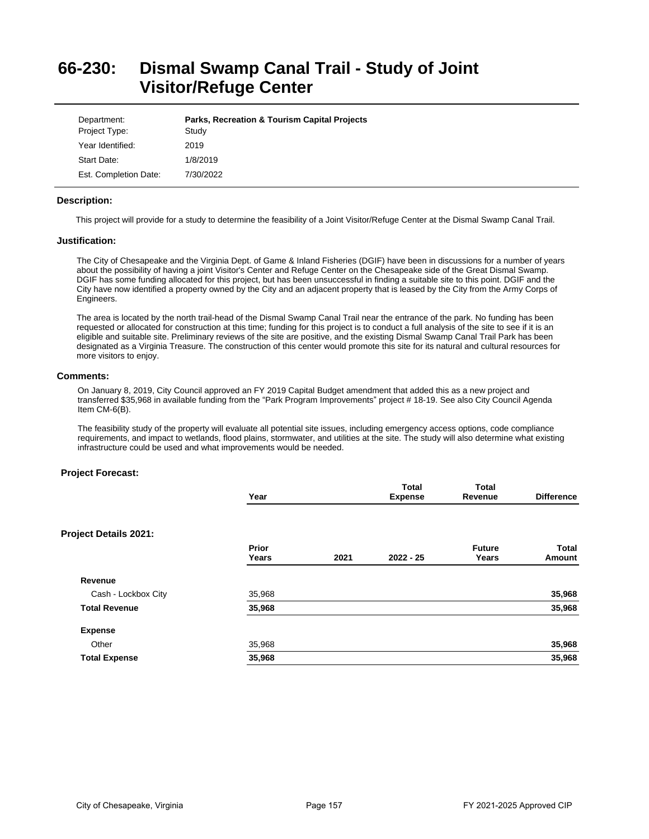# **66-230: Dismal Swamp Canal Trail - Study of Joint Visitor/Refuge Center**

| Department:<br>Project Type: | <b>Parks, Recreation &amp; Tourism Capital Projects</b><br>Study |
|------------------------------|------------------------------------------------------------------|
| Year Identified:             | 2019                                                             |
| Start Date:                  | 1/8/2019                                                         |
| Est. Completion Date:        | 7/30/2022                                                        |

## **Description:**

This project will provide for a study to determine the feasibility of a Joint Visitor/Refuge Center at the Dismal Swamp Canal Trail.

### **Justification:**

The City of Chesapeake and the Virginia Dept. of Game & Inland Fisheries (DGIF) have been in discussions for a number of years about the possibility of having a joint Visitor's Center and Refuge Center on the Chesapeake side of the Great Dismal Swamp. DGIF has some funding allocated for this project, but has been unsuccessful in finding a suitable site to this point. DGIF and the City have now identified a property owned by the City and an adjacent property that is leased by the City from the Army Corps of Engineers.

The area is located by the north trail-head of the Dismal Swamp Canal Trail near the entrance of the park. No funding has been requested or allocated for construction at this time; funding for this project is to conduct a full analysis of the site to see if it is an eligible and suitable site. Preliminary reviews of the site are positive, and the existing Dismal Swamp Canal Trail Park has been designated as a Virginia Treasure. The construction of this center would promote this site for its natural and cultural resources for more visitors to enjoy.

## **Comments:**

On January 8, 2019, City Council approved an FY 2019 Capital Budget amendment that added this as a new project and transferred \$35,968 in available funding from the "Park Program Improvements" project # 18-19. See also City Council Agenda Item CM-6(B).

The feasibility study of the property will evaluate all potential site issues, including emergency access options, code compliance requirements, and impact to wetlands, flood plains, stormwater, and utilities at the site. The study will also determine what existing infrastructure could be used and what improvements would be needed.

|                       | Year           |      | <b>Total</b><br><b>Expense</b> | <b>Total</b><br>Revenue | <b>Difference</b> |
|-----------------------|----------------|------|--------------------------------|-------------------------|-------------------|
|                       |                |      |                                |                         |                   |
| Project Details 2021: |                |      |                                |                         |                   |
|                       | Prior<br>Years | 2021 | $2022 - 25$                    | <b>Future</b><br>Years  | Total<br>Amount   |
| Revenue               |                |      |                                |                         |                   |
| Cash - Lockbox City   | 35,968         |      |                                |                         | 35,968            |
| <b>Total Revenue</b>  | 35,968         |      |                                |                         | 35,968            |
| <b>Expense</b>        |                |      |                                |                         |                   |
| Other                 | 35,968         |      |                                |                         | 35,968            |
| <b>Total Expense</b>  | 35,968         |      |                                |                         | 35,968            |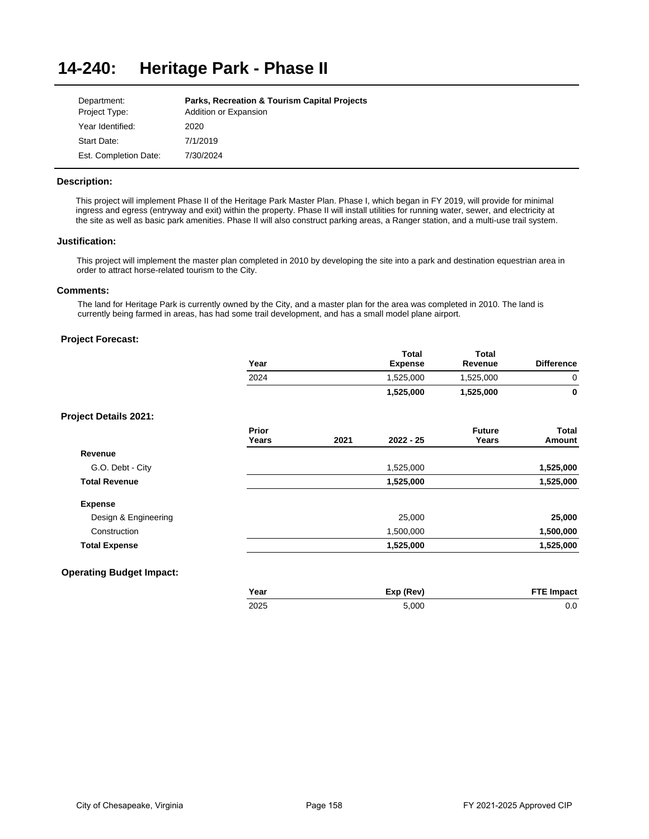#### **14-240: Heritage Park - Phase II**

| Department:           | <b>Parks, Recreation &amp; Tourism Capital Projects</b> |
|-----------------------|---------------------------------------------------------|
| Project Type:         | Addition or Expansion                                   |
| Year Identified:      | 2020                                                    |
| Start Date:           | 7/1/2019                                                |
| Est. Completion Date: | 7/30/2024                                               |

## **Description:**

This project will implement Phase II of the Heritage Park Master Plan. Phase I, which began in FY 2019, will provide for minimal ingress and egress (entryway and exit) within the property. Phase II will install utilities for running water, sewer, and electricity at the site as well as basic park amenities. Phase II will also construct parking areas, a Ranger station, and a multi-use trail system.

## **Justification:**

This project will implement the master plan completed in 2010 by developing the site into a park and destination equestrian area in order to attract horse-related tourism to the City.

### **Comments:**

The land for Heritage Park is currently owned by the City, and a master plan for the area was completed in 2010. The land is currently being farmed in areas, has had some trail development, and has a small model plane airport.

# **Project Forecast:**

| Year | Total<br><b>Expense</b> | Total<br>Revenue | <b>Difference</b> |
|------|-------------------------|------------------|-------------------|
| 2024 | 1,525,000               | 1,525,000        | 0                 |
|      | 1,525,000               | 1,525,000        | 0                 |
|      |                         |                  |                   |

## **Project Details 2021:**

|                      | Prior<br>Years | 2021 | $2022 - 25$ | <b>Future</b><br>Years | <b>Total</b><br>Amount |
|----------------------|----------------|------|-------------|------------------------|------------------------|
| Revenue              |                |      |             |                        |                        |
| G.O. Debt - City     |                |      | 1,525,000   |                        | 1,525,000              |
| <b>Total Revenue</b> |                |      | 1,525,000   |                        | 1,525,000              |
| <b>Expense</b>       |                |      |             |                        |                        |
| Design & Engineering |                |      | 25,000      |                        | 25,000                 |
| Construction         |                |      | 1,500,000   |                        | 1,500,000              |
| <b>Total Expense</b> |                |      | 1,525,000   |                        | 1,525,000              |
|                      |                |      |             |                        |                        |

# **Operating Budget Impact:**

| Year | Exp (Rev) | <b>FTE Impact</b> |
|------|-----------|-------------------|
| 2025 | 5.000     | 0.0               |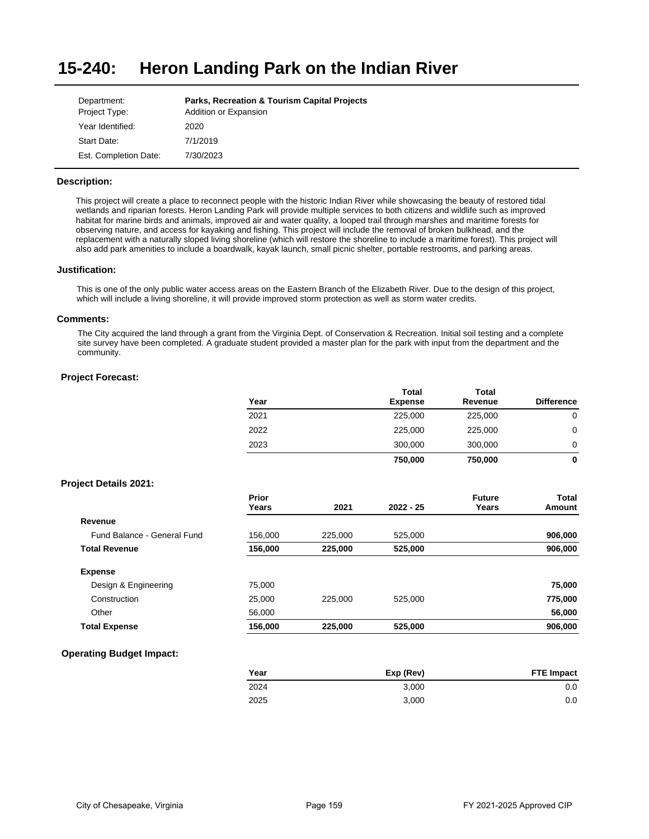#### **15-240: Heron Landing Park on the Indian River**

| Department:           | <b>Parks, Recreation &amp; Tourism Capital Projects</b> |
|-----------------------|---------------------------------------------------------|
| Project Type:         | Addition or Expansion                                   |
| Year Identified:      | 2020                                                    |
| Start Date:           | 7/1/2019                                                |
| Est. Completion Date: | 7/30/2023                                               |

## **Description:**

This project will create a place to reconnect people with the historic Indian River while showcasing the beauty of restored tidal wetlands and riparian forests. Heron Landing Park will provide multiple services to both citizens and wildlife such as improved habitat for marine birds and animals, improved air and water quality, a looped trail through marshes and maritime forests for observing nature, and access for kayaking and fishing. This project will include the removal of broken bulkhead, and the replacement with a naturally sloped living shoreline (which will restore the shoreline to include a maritime forest). This project will also add park amenities to include a boardwalk, kayak launch, small picnic shelter, portable restrooms, and parking areas.

### **Justification:**

This is one of the only public water access areas on the Eastern Branch of the Elizabeth River. Due to the design of this project, which will include a living shoreline, it will provide improved storm protection as well as storm water credits.

### **Comments:**

The City acquired the land through a grant from the Virginia Dept. of Conservation & Recreation. Initial soil testing and a complete site survey have been completed. A graduate student provided a master plan for the park with input from the department and the community.

## **Project Forecast:**

| Year | <b>Total</b><br><b>Expense</b> | <b>Total</b><br>Revenue | <b>Difference</b> |
|------|--------------------------------|-------------------------|-------------------|
| 2021 | 225,000                        | 225,000                 | 0                 |
| 2022 | 225,000                        | 225,000                 | 0                 |
| 2023 | 300,000                        | 300,000                 | 0                 |
|      | 750,000                        | 750,000                 | 0                 |

### **Project Details 2021:**

|                             | Prior<br>Years | 2021    | $2022 - 25$ | <b>Future</b><br>Years | Total<br>Amount |
|-----------------------------|----------------|---------|-------------|------------------------|-----------------|
| Revenue                     |                |         |             |                        |                 |
| Fund Balance - General Fund | 156,000        | 225,000 | 525,000     |                        | 906,000         |
| <b>Total Revenue</b>        | 156,000        | 225,000 | 525,000     |                        | 906,000         |
| <b>Expense</b>              |                |         |             |                        |                 |
| Design & Engineering        | 75,000         |         |             |                        | 75,000          |
| Construction                | 25,000         | 225,000 | 525.000     |                        | 775,000         |
| Other                       | 56,000         |         |             |                        | 56,000          |
| <b>Total Expense</b>        | 156,000        | 225,000 | 525,000     |                        | 906,000         |
|                             |                |         |             |                        |                 |

## **Operating Budget Impact:**

| Year | Exp (Rev) | <b>FTE Impact</b> |
|------|-----------|-------------------|
| 2024 | 3.000     | 0.0               |
| 2025 | 3.000     | 0.0               |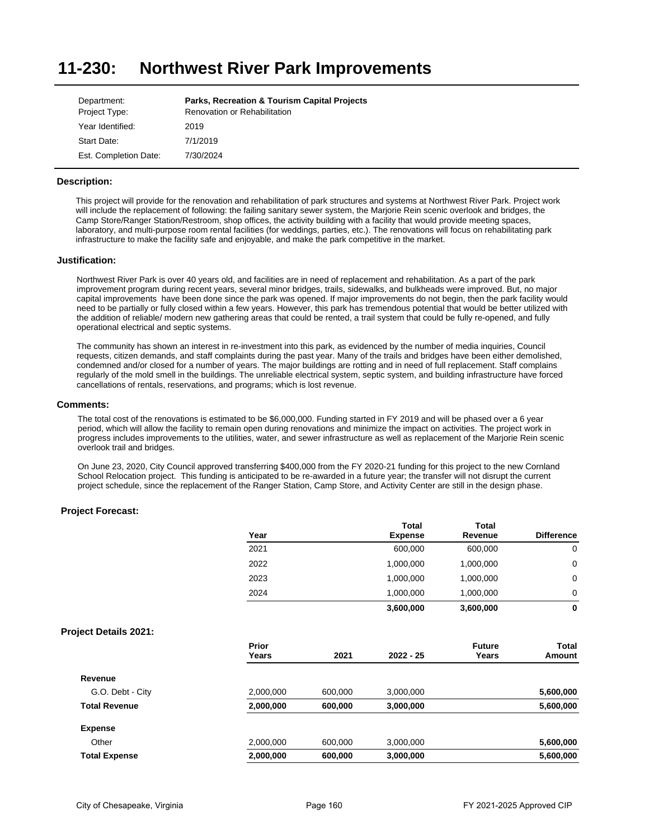#### **11-230: Northwest River Park Improvements**

| Department:           | <b>Parks, Recreation &amp; Tourism Capital Projects</b> |
|-----------------------|---------------------------------------------------------|
| Project Type:         | Renovation or Rehabilitation                            |
| Year Identified:      | 2019                                                    |
| Start Date:           | 7/1/2019                                                |
| Est. Completion Date: | 7/30/2024                                               |

## **Description:**

This project will provide for the renovation and rehabilitation of park structures and systems at Northwest River Park. Project work will include the replacement of following: the failing sanitary sewer system, the Marjorie Rein scenic overlook and bridges, the Camp Store/Ranger Station/Restroom, shop offices, the activity building with a facility that would provide meeting spaces, laboratory, and multi-purpose room rental facilities (for weddings, parties, etc.). The renovations will focus on rehabilitating park infrastructure to make the facility safe and enjoyable, and make the park competitive in the market.

### **Justification:**

Northwest River Park is over 40 years old, and facilities are in need of replacement and rehabilitation. As a part of the park improvement program during recent years, several minor bridges, trails, sidewalks, and bulkheads were improved. But, no major capital improvements have been done since the park was opened. If major improvements do not begin, then the park facility would need to be partially or fully closed within a few years. However, this park has tremendous potential that would be better utilized with the addition of reliable/ modern new gathering areas that could be rented, a trail system that could be fully re-opened, and fully operational electrical and septic systems.

The community has shown an interest in re-investment into this park, as evidenced by the number of media inquiries, Council requests, citizen demands, and staff complaints during the past year. Many of the trails and bridges have been either demolished, condemned and/or closed for a number of years. The major buildings are rotting and in need of full replacement. Staff complains regularly of the mold smell in the buildings. The unreliable electrical system, septic system, and building infrastructure have forced cancellations of rentals, reservations, and programs; which is lost revenue.

#### **Comments:**

The total cost of the renovations is estimated to be \$6,000,000. Funding started in FY 2019 and will be phased over a 6 year period, which will allow the facility to remain open during renovations and minimize the impact on activities. The project work in progress includes improvements to the utilities, water, and sewer infrastructure as well as replacement of the Marjorie Rein scenic overlook trail and bridges.

On June 23, 2020, City Council approved transferring \$400,000 from the FY 2020-21 funding for this project to the new Cornland School Relocation project. This funding is anticipated to be re-awarded in a future year; the transfer will not disrupt the current project schedule, since the replacement of the Ranger Station, Camp Store, and Activity Center are still in the design phase.

## **Project Forecast:**

|      | <b>Total</b>   | <b>Total</b> |                   |
|------|----------------|--------------|-------------------|
| Year | <b>Expense</b> | Revenue      | <b>Difference</b> |
| 2021 | 600,000        | 600,000      | 0                 |
| 2022 | 1,000,000      | 1,000,000    | 0                 |
| 2023 | 1,000,000      | 1,000,000    | 0                 |
| 2024 | 1,000,000      | 1,000,000    | 0                 |
|      | 3,600,000      | 3,600,000    | 0                 |

|                      | Prior<br>Years | 2021    | $2022 - 25$ | <b>Future</b><br>Years | Total<br>Amount |
|----------------------|----------------|---------|-------------|------------------------|-----------------|
| Revenue              |                |         |             |                        |                 |
|                      |                |         |             |                        |                 |
| G.O. Debt - City     | 2,000,000      | 600.000 | 3,000,000   |                        | 5,600,000       |
| <b>Total Revenue</b> | 2,000,000      | 600,000 | 3,000,000   |                        | 5,600,000       |
| <b>Expense</b>       |                |         |             |                        |                 |
| Other                | 2,000,000      | 600,000 | 3,000,000   |                        | 5,600,000       |
| <b>Total Expense</b> | 2,000,000      | 600,000 | 3,000,000   |                        | 5,600,000       |
|                      |                |         |             |                        |                 |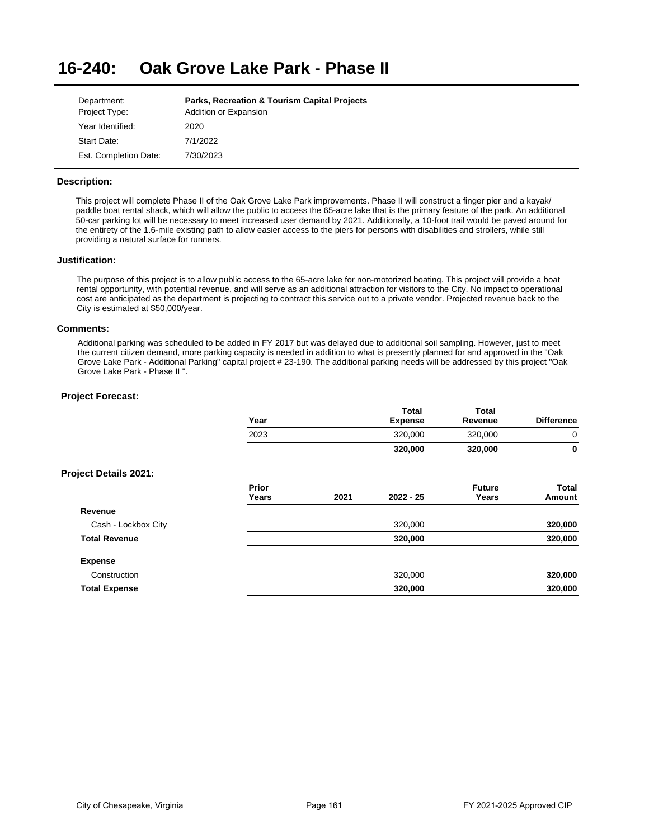#### **16-240: Oak Grove Lake Park - Phase II**

| Department:           | <b>Parks, Recreation &amp; Tourism Capital Projects</b> |
|-----------------------|---------------------------------------------------------|
| Project Type:         | Addition or Expansion                                   |
| Year Identified:      | 2020                                                    |
| Start Date:           | 7/1/2022                                                |
| Est. Completion Date: | 7/30/2023                                               |

## **Description:**

This project will complete Phase II of the Oak Grove Lake Park improvements. Phase II will construct a finger pier and a kayak/ paddle boat rental shack, which will allow the public to access the 65-acre lake that is the primary feature of the park. An additional 50-car parking lot will be necessary to meet increased user demand by 2021. Additionally, a 10-foot trail would be paved around for the entirety of the 1.6-mile existing path to allow easier access to the piers for persons with disabilities and strollers, while still providing a natural surface for runners.

### **Justification:**

The purpose of this project is to allow public access to the 65-acre lake for non-motorized boating. This project will provide a boat rental opportunity, with potential revenue, and will serve as an additional attraction for visitors to the City. No impact to operational cost are anticipated as the department is projecting to contract this service out to a private vendor. Projected revenue back to the City is estimated at \$50,000/year.

### **Comments:**

Additional parking was scheduled to be added in FY 2017 but was delayed due to additional soil sampling. However, just to meet the current citizen demand, more parking capacity is needed in addition to what is presently planned for and approved in the "Oak Grove Lake Park - Additional Parking" capital project # 23-190. The additional parking needs will be addressed by this project "Oak Grove Lake Park - Phase II ".

|                       | Year           |      | <b>Total</b><br><b>Expense</b> | <b>Total</b><br>Revenue | <b>Difference</b>      |
|-----------------------|----------------|------|--------------------------------|-------------------------|------------------------|
|                       | 2023           |      | 320,000                        | 320,000                 | 0                      |
|                       |                |      | 320,000                        | 320,000                 | 0                      |
| Project Details 2021: |                |      |                                |                         |                        |
|                       | Prior<br>Years | 2021 | $2022 - 25$                    | <b>Future</b><br>Years  | <b>Total</b><br>Amount |
| Revenue               |                |      |                                |                         |                        |
| Cash - Lockbox City   |                |      | 320,000                        |                         | 320,000                |
| <b>Total Revenue</b>  |                |      | 320,000                        |                         | 320,000                |
| <b>Expense</b>        |                |      |                                |                         |                        |
| Construction          |                |      | 320,000                        |                         | 320,000                |
| <b>Total Expense</b>  |                |      | 320,000                        |                         | 320,000                |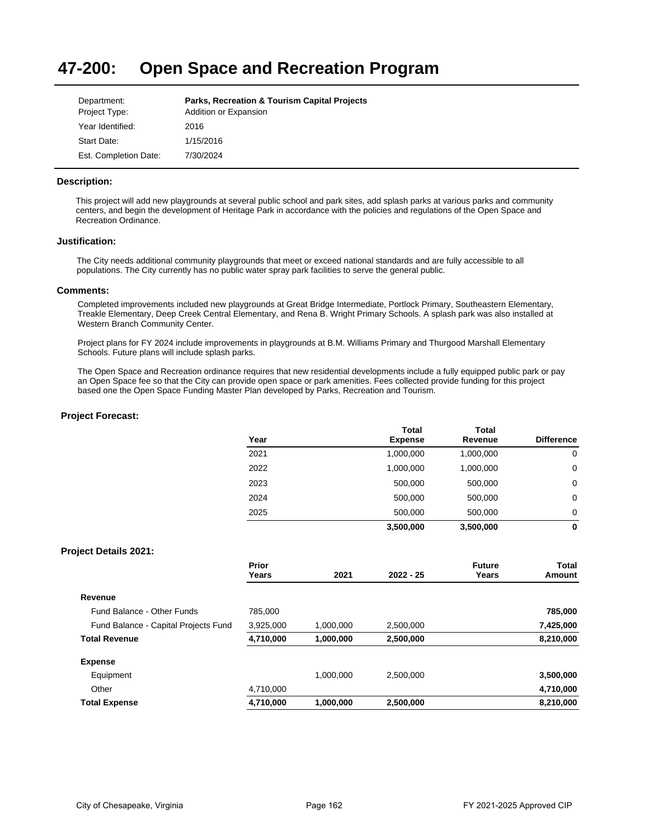#### **47-200: Open Space and Recreation Program**

| Department:           | <b>Parks, Recreation &amp; Tourism Capital Projects</b> |
|-----------------------|---------------------------------------------------------|
| Project Type:         | Addition or Expansion                                   |
| Year Identified:      | 2016                                                    |
| Start Date:           | 1/15/2016                                               |
| Est. Completion Date: | 7/30/2024                                               |

## **Description:**

This project will add new playgrounds at several public school and park sites, add splash parks at various parks and community centers, and begin the development of Heritage Park in accordance with the policies and regulations of the Open Space and Recreation Ordinance.

### **Justification:**

The City needs additional community playgrounds that meet or exceed national standards and are fully accessible to all populations. The City currently has no public water spray park facilities to serve the general public.

## **Comments:**

Completed improvements included new playgrounds at Great Bridge Intermediate, Portlock Primary, Southeastern Elementary, Treakle Elementary, Deep Creek Central Elementary, and Rena B. Wright Primary Schools. A splash park was also installed at Western Branch Community Center.

Project plans for FY 2024 include improvements in playgrounds at B.M. Williams Primary and Thurgood Marshall Elementary Schools. Future plans will include splash parks.

The Open Space and Recreation ordinance requires that new residential developments include a fully equipped public park or pay an Open Space fee so that the City can provide open space or park amenities. Fees collected provide funding for this project based one the Open Space Funding Master Plan developed by Parks, Recreation and Tourism.

### **Project Forecast:**

| Year | <b>Total</b><br><b>Expense</b> | <b>Total</b><br>Revenue | <b>Difference</b> |
|------|--------------------------------|-------------------------|-------------------|
| 2021 | 1,000,000                      | 1,000,000               | 0                 |
| 2022 | 1,000,000                      | 1,000,000               | 0                 |
| 2023 | 500,000                        | 500,000                 | 0                 |
| 2024 | 500,000                        | 500,000                 | 0                 |
| 2025 | 500,000                        | 500,000                 | $\Omega$          |
|      | 3,500,000                      | 3,500,000               | 0                 |

|                                      | Prior<br>Years | 2021      | $2022 - 25$ | <b>Future</b><br>Years | Total<br>Amount |
|--------------------------------------|----------------|-----------|-------------|------------------------|-----------------|
| Revenue                              |                |           |             |                        |                 |
| Fund Balance - Other Funds           | 785.000        |           |             |                        | 785,000         |
| Fund Balance - Capital Projects Fund | 3,925,000      | 1,000,000 | 2.500.000   |                        | 7,425,000       |
| <b>Total Revenue</b>                 | 4,710,000      | 1,000,000 | 2,500,000   |                        | 8,210,000       |
| <b>Expense</b>                       |                |           |             |                        |                 |
| Equipment                            |                | 1,000,000 | 2.500.000   |                        | 3,500,000       |
| Other                                | 4,710,000      |           |             |                        | 4,710,000       |
| <b>Total Expense</b>                 | 4,710,000      | 1,000,000 | 2,500,000   |                        | 8,210,000       |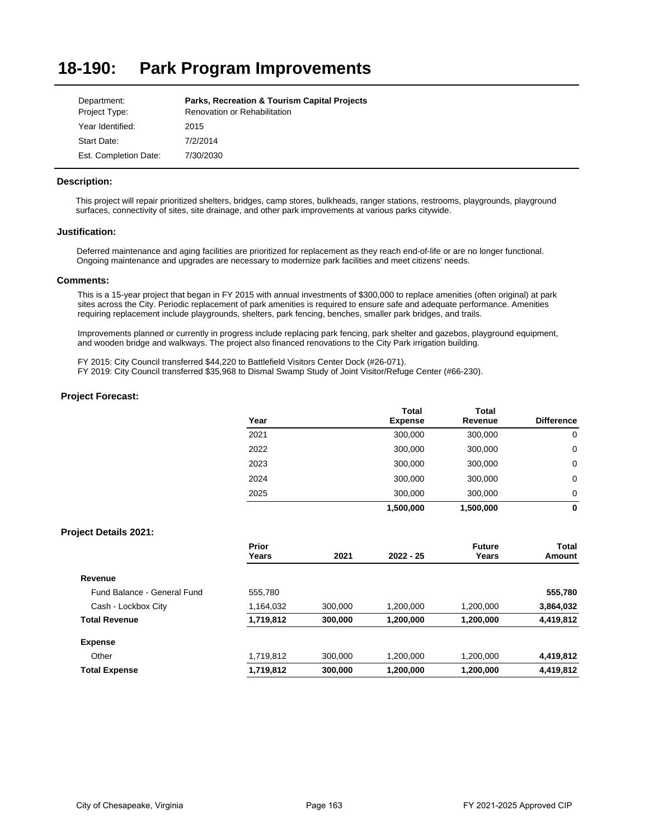#### **18-190: Park Program Improvements**

| Department:           | <b>Parks, Recreation &amp; Tourism Capital Projects</b> |
|-----------------------|---------------------------------------------------------|
| Project Type:         | Renovation or Rehabilitation                            |
| Year Identified:      | 2015                                                    |
| Start Date:           | 7/2/2014                                                |
| Est. Completion Date: | 7/30/2030                                               |

## **Description:**

This project will repair prioritized shelters, bridges, camp stores, bulkheads, ranger stations, restrooms, playgrounds, playground surfaces, connectivity of sites, site drainage, and other park improvements at various parks citywide.

### **Justification:**

Deferred maintenance and aging facilities are prioritized for replacement as they reach end-of-life or are no longer functional. Ongoing maintenance and upgrades are necessary to modernize park facilities and meet citizens' needs.

### **Comments:**

This is a 15-year project that began in FY 2015 with annual investments of \$300,000 to replace amenities (often original) at park sites across the City. Periodic replacement of park amenities is required to ensure safe and adequate performance. Amenities requiring replacement include playgrounds, shelters, park fencing, benches, smaller park bridges, and trails.

Improvements planned or currently in progress include replacing park fencing, park shelter and gazebos, playground equipment, and wooden bridge and walkways. The project also financed renovations to the City Park irrigation building.

FY 2015: City Council transferred \$44,220 to Battlefield Visitors Center Dock (#26-071).

FY 2019: City Council transferred \$35,968 to Dismal Swamp Study of Joint Visitor/Refuge Center (#66-230).

## **Project Forecast:**

|      | <b>Total</b>   | <b>Total</b> |                   |
|------|----------------|--------------|-------------------|
| Year | <b>Expense</b> | Revenue      | <b>Difference</b> |
| 2021 | 300,000        | 300,000      | 0                 |
| 2022 | 300,000        | 300,000      | 0                 |
| 2023 | 300,000        | 300,000      | 0                 |
| 2024 | 300,000        | 300,000      | 0                 |
| 2025 | 300,000        | 300,000      | 0                 |
|      | 1,500,000      | 1,500,000    | 0                 |

|                             | Prior<br>Years | 2021    | $2022 - 25$ | <b>Future</b><br>Years | Total<br>Amount |
|-----------------------------|----------------|---------|-------------|------------------------|-----------------|
| Revenue                     |                |         |             |                        |                 |
| Fund Balance - General Fund | 555,780        |         |             |                        | 555,780         |
| Cash - Lockbox City         | 1,164,032      | 300,000 | 1,200,000   | 1,200,000              | 3,864,032       |
| <b>Total Revenue</b>        | 1,719,812      | 300,000 | 1,200,000   | 1,200,000              | 4,419,812       |
| <b>Expense</b>              |                |         |             |                        |                 |
| Other                       | 1,719,812      | 300.000 | 1.200.000   | 1.200.000              | 4,419,812       |
| <b>Total Expense</b>        | 1,719,812      | 300,000 | 1,200,000   | 1,200,000              | 4,419,812       |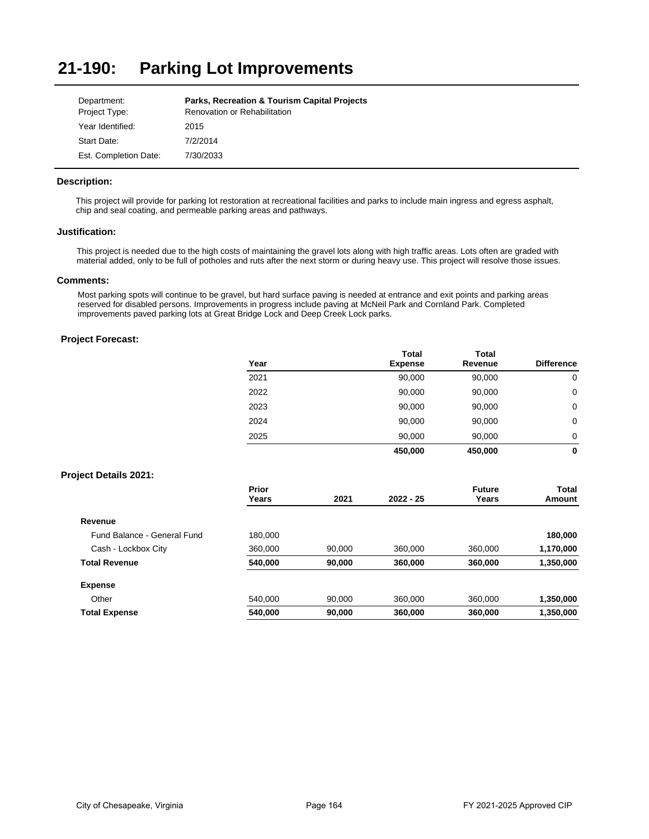#### **21-190: Parking Lot Improvements**

| Department:           | <b>Parks, Recreation &amp; Tourism Capital Projects</b> |
|-----------------------|---------------------------------------------------------|
| Project Type:         | <b>Renovation or Rehabilitation</b>                     |
| Year Identified:      | 2015                                                    |
| Start Date:           | 7/2/2014                                                |
| Est. Completion Date: | 7/30/2033                                               |

## **Description:**

This project will provide for parking lot restoration at recreational facilities and parks to include main ingress and egress asphalt, chip and seal coating, and permeable parking areas and pathways.

### **Justification:**

This project is needed due to the high costs of maintaining the gravel lots along with high traffic areas. Lots often are graded with material added, only to be full of potholes and ruts after the next storm or during heavy use. This project will resolve those issues.

### **Comments:**

Most parking spots will continue to be gravel, but hard surface paving is needed at entrance and exit points and parking areas reserved for disabled persons. Improvements in progress include paving at McNeil Park and Cornland Park. Completed improvements paved parking lots at Great Bridge Lock and Deep Creek Lock parks.

# **Project Forecast:**

| Year | <b>Total</b><br><b>Expense</b> | <b>Total</b><br>Revenue | <b>Difference</b> |
|------|--------------------------------|-------------------------|-------------------|
| 2021 | 90,000                         | 90,000                  | 0                 |
| 2022 | 90,000                         | 90,000                  | 0                 |
| 2023 | 90,000                         | 90,000                  | 0                 |
| 2024 | 90,000                         | 90,000                  | 0                 |
| 2025 | 90,000                         | 90,000                  | 0                 |
|      | 450,000                        | 450,000                 | 0                 |

|                             | Prior<br>Years | 2021   | $2022 - 25$ | <b>Future</b><br>Years | Total<br>Amount |
|-----------------------------|----------------|--------|-------------|------------------------|-----------------|
| Revenue                     |                |        |             |                        |                 |
| Fund Balance - General Fund |                |        |             |                        |                 |
|                             | 180,000        |        |             |                        | 180,000         |
| Cash - Lockbox City         | 360,000        | 90.000 | 360,000     | 360,000                | 1,170,000       |
| <b>Total Revenue</b>        | 540,000        | 90,000 | 360,000     | 360,000                | 1,350,000       |
| <b>Expense</b>              |                |        |             |                        |                 |
| Other                       | 540.000        | 90.000 | 360,000     | 360,000                | 1,350,000       |
| <b>Total Expense</b>        | 540.000        | 90,000 | 360,000     | 360,000                | 1,350,000       |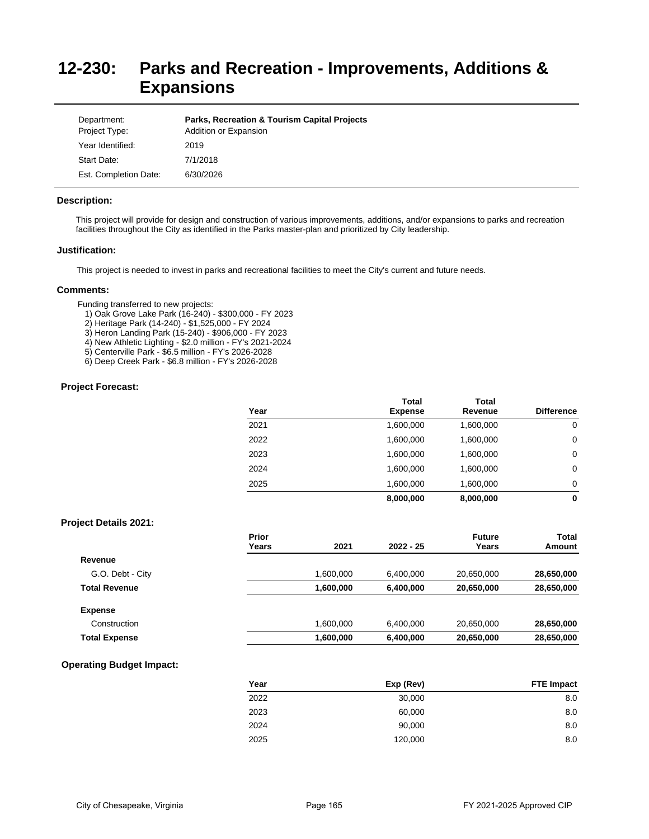# **12-230: Parks and Recreation - Improvements, Additions & Expansions**

| Department:<br>Project Type: | <b>Parks, Recreation &amp; Tourism Capital Projects</b><br>Addition or Expansion |
|------------------------------|----------------------------------------------------------------------------------|
| Year Identified:             | 2019                                                                             |
| Start Date:                  | 7/1/2018                                                                         |
| Est. Completion Date:        | 6/30/2026                                                                        |

### **Description:**

This project will provide for design and construction of various improvements, additions, and/or expansions to parks and recreation facilities throughout the City as identified in the Parks master-plan and prioritized by City leadership.

## **Justification:**

This project is needed to invest in parks and recreational facilities to meet the City's current and future needs.

### **Comments:**

Funding transferred to new projects:

- 1) Oak Grove Lake Park (16-240) \$300,000 FY 2023
- 2) Heritage Park (14-240) \$1,525,000 FY 2024
- 3) Heron Landing Park (15-240) \$906,000 FY 2023
- 4) New Athletic Lighting \$2.0 million FY's 2021-2024
- 5) Centerville Park \$6.5 million FY's 2026-2028
- 6) Deep Creek Park \$6.8 million FY's 2026-2028

### **Project Forecast:**

| Year | <b>Total</b><br><b>Expense</b> | Total<br>Revenue | <b>Difference</b> |
|------|--------------------------------|------------------|-------------------|
| 2021 | 1,600,000                      | 1,600,000        | 0                 |
| 2022 | 1,600,000                      | 1,600,000        | 0                 |
| 2023 | 1,600,000                      | 1,600,000        | 0                 |
| 2024 | 1,600,000                      | 1,600,000        | 0                 |
| 2025 | 1,600,000                      | 1,600,000        | 0                 |
|      | 8,000,000                      | 8,000,000        | 0                 |

## **Project Details 2021:**

|                      | Prior<br>Years | 2021      | $2022 - 25$ | <b>Future</b><br>Years | <b>Total</b><br>Amount |
|----------------------|----------------|-----------|-------------|------------------------|------------------------|
| Revenue              |                |           |             |                        |                        |
| G.O. Debt - City     |                | 1,600,000 | 6,400,000   | 20,650,000             | 28,650,000             |
| <b>Total Revenue</b> |                | 1,600,000 | 6,400,000   | 20,650,000             | 28,650,000             |
| <b>Expense</b>       |                |           |             |                        |                        |
| Construction         |                | 1,600,000 | 6,400,000   | 20,650,000             | 28,650,000             |
| <b>Total Expense</b> |                | 1,600,000 | 6,400,000   | 20,650,000             | 28,650,000             |
|                      |                |           |             |                        |                        |

# **Operating Budget Impact:**

| Year | Exp (Rev) | <b>FTE Impact</b> |
|------|-----------|-------------------|
| 2022 | 30,000    | 8.0               |
| 2023 | 60,000    | 8.0               |
| 2024 | 90,000    | 8.0               |
| 2025 | 120,000   | 8.0               |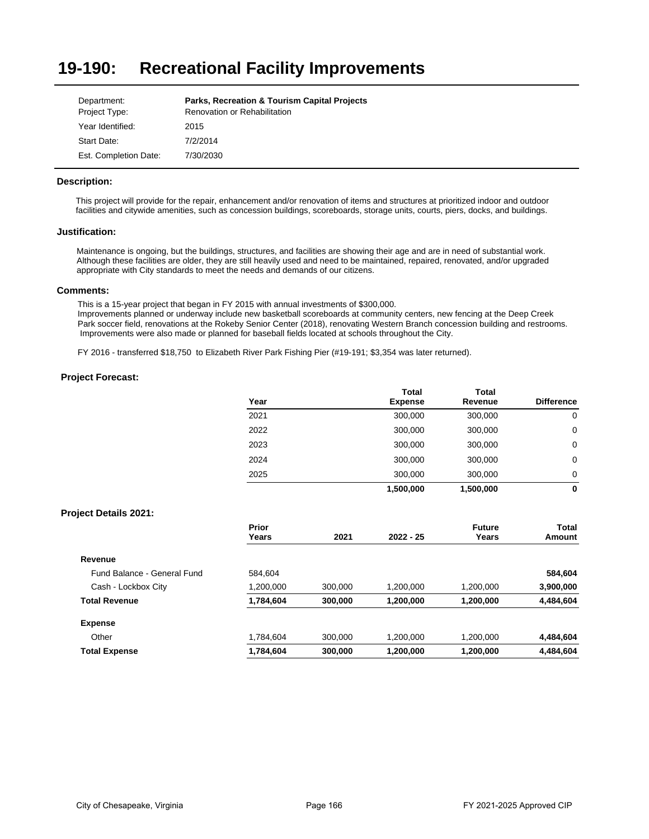### **19-190: Recreational Facility Improvements**

| Department:           | <b>Parks, Recreation &amp; Tourism Capital Projects</b> |
|-----------------------|---------------------------------------------------------|
| Project Type:         | <b>Renovation or Rehabilitation</b>                     |
| Year Identified:      | 2015                                                    |
| Start Date:           | 7/2/2014                                                |
| Est. Completion Date: | 7/30/2030                                               |

### **Description:**

This project will provide for the repair, enhancement and/or renovation of items and structures at prioritized indoor and outdoor facilities and citywide amenities, such as concession buildings, scoreboards, storage units, courts, piers, docks, and buildings.

### **Justification:**

Maintenance is ongoing, but the buildings, structures, and facilities are showing their age and are in need of substantial work. Although these facilities are older, they are still heavily used and need to be maintained, repaired, renovated, and/or upgraded appropriate with City standards to meet the needs and demands of our citizens.

### **Comments:**

This is a 15-year project that began in FY 2015 with annual investments of \$300,000.

Improvements planned or underway include new basketball scoreboards at community centers, new fencing at the Deep Creek Park soccer field, renovations at the Rokeby Senior Center (2018), renovating Western Branch concession building and restrooms. Improvements were also made or planned for baseball fields located at schools throughout the City.

FY 2016 - transferred \$18,750 to Elizabeth River Park Fishing Pier (#19-191; \$3,354 was later returned).

### **Project Forecast:**

| Year | <b>Total</b><br><b>Expense</b> | Total<br>Revenue | <b>Difference</b> |
|------|--------------------------------|------------------|-------------------|
| 2021 | 300,000                        | 300,000          | 0                 |
| 2022 | 300,000                        | 300,000          | 0                 |
| 2023 | 300,000                        | 300,000          | 0                 |
| 2024 | 300,000                        | 300,000          | 0                 |
| 2025 | 300,000                        | 300,000          | 0                 |
|      | 1.500.000                      | 1.500.000        | 0                 |

|                             | Prior<br>Years | 2021    | $2022 - 25$ | <b>Future</b><br>Years | Total<br>Amount |
|-----------------------------|----------------|---------|-------------|------------------------|-----------------|
|                             |                |         |             |                        |                 |
| Revenue                     |                |         |             |                        |                 |
| Fund Balance - General Fund | 584.604        |         |             |                        | 584,604         |
| Cash - Lockbox City         | 1,200,000      | 300,000 | 1.200.000   | 1,200,000              | 3,900,000       |
| <b>Total Revenue</b>        | 1,784,604      | 300,000 | 1,200,000   | 1,200,000              | 4,484,604       |
| <b>Expense</b>              |                |         |             |                        |                 |
| Other                       | 1.784.604      | 300,000 | 1.200.000   | 1,200,000              | 4,484,604       |
| <b>Total Expense</b>        | 1,784,604      | 300,000 | 1,200,000   | 1,200,000              | 4,484,604       |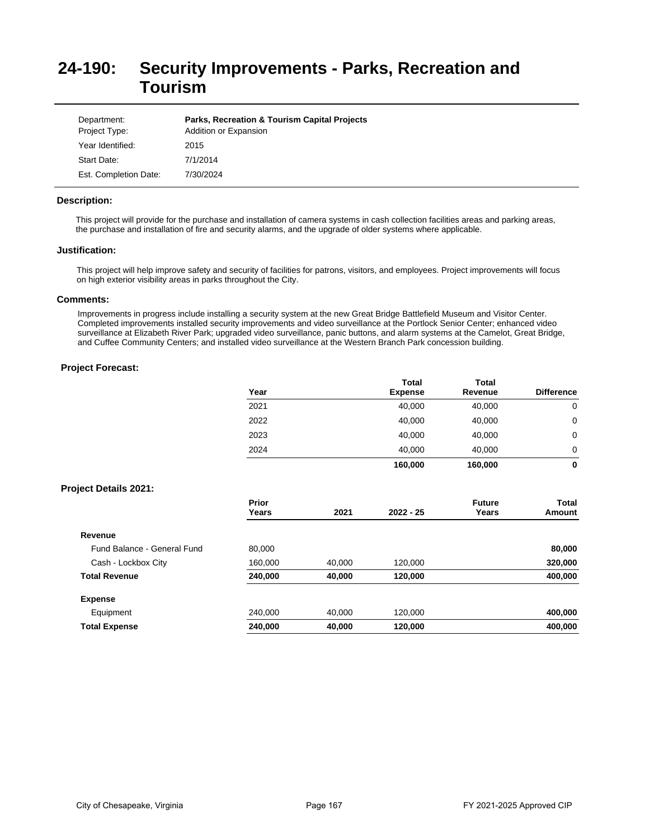# **24-190: Security Improvements - Parks, Recreation and Tourism**

| Department:<br>Project Type: | <b>Parks, Recreation &amp; Tourism Capital Projects</b><br>Addition or Expansion |
|------------------------------|----------------------------------------------------------------------------------|
| Year Identified:             | 2015                                                                             |
| Start Date:                  | 7/1/2014                                                                         |
| Est. Completion Date:        | 7/30/2024                                                                        |

### **Description:**

This project will provide for the purchase and installation of camera systems in cash collection facilities areas and parking areas, the purchase and installation of fire and security alarms, and the upgrade of older systems where applicable.

# **Justification:**

This project will help improve safety and security of facilities for patrons, visitors, and employees. Project improvements will focus on high exterior visibility areas in parks throughout the City.

### **Comments:**

Improvements in progress include installing a security system at the new Great Bridge Battlefield Museum and Visitor Center. Completed improvements installed security improvements and video surveillance at the Portlock Senior Center; enhanced video surveillance at Elizabeth River Park; upgraded video surveillance, panic buttons, and alarm systems at the Camelot, Great Bridge, and Cuffee Community Centers; and installed video surveillance at the Western Branch Park concession building.

## **Project Forecast:**

|      | <b>Total</b>   | <b>Total</b> |                   |
|------|----------------|--------------|-------------------|
| Year | <b>Expense</b> | Revenue      | <b>Difference</b> |
| 2021 | 40,000         | 40,000       | 0                 |
| 2022 | 40,000         | 40,000       | 0                 |
| 2023 | 40.000         | 40,000       | 0                 |
| 2024 | 40,000         | 40.000       | 0                 |
|      | 160,000        | 160,000      | 0                 |

|                             | Prior<br>Years | 2021   | $2022 - 25$ | <b>Future</b><br>Years | Total<br>Amount |
|-----------------------------|----------------|--------|-------------|------------------------|-----------------|
| Revenue                     |                |        |             |                        |                 |
| Fund Balance - General Fund | 80,000         |        |             |                        | 80,000          |
| Cash - Lockbox City         | 160,000        | 40,000 | 120,000     |                        | 320,000         |
| <b>Total Revenue</b>        | 240,000        | 40,000 | 120,000     |                        | 400,000         |
| <b>Expense</b>              |                |        |             |                        |                 |
| Equipment                   | 240.000        | 40,000 | 120,000     |                        | 400,000         |
| <b>Total Expense</b>        | 240,000        | 40,000 | 120,000     |                        | 400,000         |